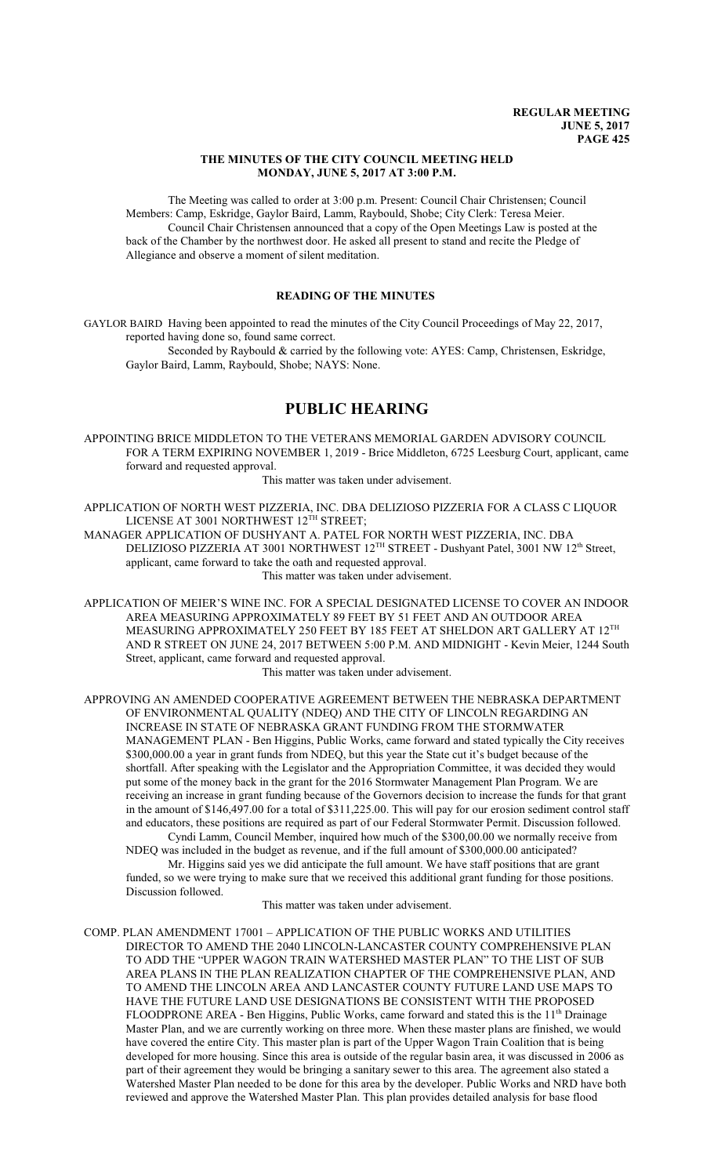### **THE MINUTES OF THE CITY COUNCIL MEETING HELD MONDAY, JUNE 5, 2017 AT 3:00 P.M.**

The Meeting was called to order at 3:00 p.m. Present: Council Chair Christensen; Council Members: Camp, Eskridge, Gaylor Baird, Lamm, Raybould, Shobe; City Clerk: Teresa Meier. Council Chair Christensen announced that a copy of the Open Meetings Law is posted at the back of the Chamber by the northwest door. He asked all present to stand and recite the Pledge of Allegiance and observe a moment of silent meditation.

### **READING OF THE MINUTES**

GAYLOR BAIRD Having been appointed to read the minutes of the City Council Proceedings of May 22, 2017, reported having done so, found same correct.

Seconded by Raybould & carried by the following vote: AYES: Camp, Christensen, Eskridge, Gaylor Baird, Lamm, Raybould, Shobe; NAYS: None.

# **PUBLIC HEARING**

APPOINTING BRICE MIDDLETON TO THE VETERANS MEMORIAL GARDEN ADVISORY COUNCIL FOR A TERM EXPIRING NOVEMBER 1, 2019 - Brice Middleton, 6725 Leesburg Court, applicant, came forward and requested approval.

This matter was taken under advisement.

APPLICATION OF NORTH WEST PIZZERIA, INC. DBA DELIZIOSO PIZZERIA FOR A CLASS C LIQUOR LICENSE AT 3001 NORTHWEST 12 $^{\rm TH}$  STREET;

MANAGER APPLICATION OF DUSHYANT A. PATEL FOR NORTH WEST PIZZERIA, INC. DBA DELIZIOSO PIZZERIA AT 3001 NORTHWEST 12<sup>TH</sup> STREET - Dushyant Patel, 3001 NW 12<sup>th</sup> Street, applicant, came forward to take the oath and requested approval. This matter was taken under advisement.

APPLICATION OF MEIER'S WINE INC. FOR A SPECIAL DESIGNATED LICENSE TO COVER AN INDOOR AREA MEASURING APPROXIMATELY 89 FEET BY 51 FEET AND AN OUTDOOR AREA MEASURING APPROXIMATELY 250 FEET BY 185 FEET AT SHELDON ART GALLERY AT 12 $^{\text{TH}}$ AND R STREET ON JUNE 24, 2017 BETWEEN 5:00 P.M. AND MIDNIGHT - Kevin Meier, 1244 South Street, applicant, came forward and requested approval.

This matter was taken under advisement.

APPROVING AN AMENDED COOPERATIVE AGREEMENT BETWEEN THE NEBRASKA DEPARTMENT OF ENVIRONMENTAL QUALITY (NDEQ) AND THE CITY OF LINCOLN REGARDING AN INCREASE IN STATE OF NEBRASKA GRANT FUNDING FROM THE STORMWATER MANAGEMENT PLAN - Ben Higgins, Public Works, came forward and stated typically the City receives \$300,000.00 a year in grant funds from NDEQ, but this year the State cut it's budget because of the shortfall. After speaking with the Legislator and the Appropriation Committee, it was decided they would put some of the money back in the grant for the 2016 Stormwater Management Plan Program. We are receiving an increase in grant funding because of the Governors decision to increase the funds for that grant in the amount of \$146,497.00 for a total of \$311,225.00. This will pay for our erosion sediment control staff and educators, these positions are required as part of our Federal Stormwater Permit. Discussion followed. Cyndi Lamm, Council Member, inquired how much of the \$300,00.00 we normally receive from

NDEQ was included in the budget as revenue, and if the full amount of \$300,000.00 anticipated?

Mr. Higgins said yes we did anticipate the full amount. We have staff positions that are grant funded, so we were trying to make sure that we received this additional grant funding for those positions. Discussion followed.

This matter was taken under advisement.

COMP. PLAN AMENDMENT 17001 – APPLICATION OF THE PUBLIC WORKS AND UTILITIES DIRECTOR TO AMEND THE 2040 LINCOLN-LANCASTER COUNTY COMPREHENSIVE PLAN TO ADD THE "UPPER WAGON TRAIN WATERSHED MASTER PLAN" TO THE LIST OF SUB AREA PLANS IN THE PLAN REALIZATION CHAPTER OF THE COMPREHENSIVE PLAN, AND TO AMEND THE LINCOLN AREA AND LANCASTER COUNTY FUTURE LAND USE MAPS TO HAVE THE FUTURE LAND USE DESIGNATIONS BE CONSISTENT WITH THE PROPOSED FLOODPRONE AREA - Ben Higgins, Public Works, came forward and stated this is the 11<sup>th</sup> Drainage Master Plan, and we are currently working on three more. When these master plans are finished, we would have covered the entire City. This master plan is part of the Upper Wagon Train Coalition that is being developed for more housing. Since this area is outside of the regular basin area, it was discussed in 2006 as part of their agreement they would be bringing a sanitary sewer to this area. The agreement also stated a Watershed Master Plan needed to be done for this area by the developer. Public Works and NRD have both reviewed and approve the Watershed Master Plan. This plan provides detailed analysis for base flood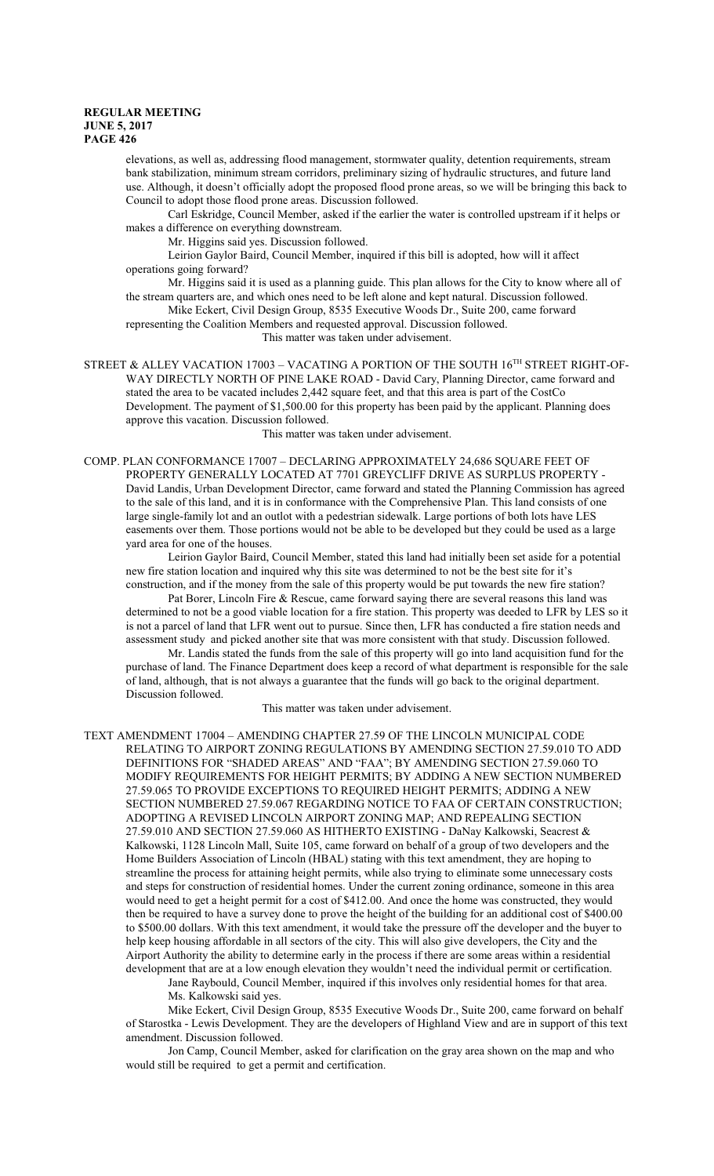elevations, as well as, addressing flood management, stormwater quality, detention requirements, stream bank stabilization, minimum stream corridors, preliminary sizing of hydraulic structures, and future land use. Although, it doesn't officially adopt the proposed flood prone areas, so we will be bringing this back to Council to adopt those flood prone areas. Discussion followed.

Carl Eskridge, Council Member, asked if the earlier the water is controlled upstream if it helps or makes a difference on everything downstream.

Mr. Higgins said yes. Discussion followed.

Leirion Gaylor Baird, Council Member, inquired if this bill is adopted, how will it affect operations going forward?

Mr. Higgins said it is used as a planning guide. This plan allows for the City to know where all of the stream quarters are, and which ones need to be left alone and kept natural. Discussion followed.

Mike Eckert, Civil Design Group, 8535 Executive Woods Dr., Suite 200, came forward

representing the Coalition Members and requested approval. Discussion followed. This matter was taken under advisement.

STREET  $\&$  ALLEY VACATION 17003 – VACATING A PORTION OF THE SOUTH 16TH STREET RIGHT-OF-WAY DIRECTLY NORTH OF PINE LAKE ROAD - David Cary, Planning Director, came forward and stated the area to be vacated includes 2,442 square feet, and that this area is part of the CostCo Development. The payment of \$1,500.00 for this property has been paid by the applicant. Planning does approve this vacation. Discussion followed.

This matter was taken under advisement.

COMP. PLAN CONFORMANCE 17007 – DECLARING APPROXIMATELY 24,686 SQUARE FEET OF PROPERTY GENERALLY LOCATED AT 7701 GREYCLIFF DRIVE AS SURPLUS PROPERTY - David Landis, Urban Development Director, came forward and stated the Planning Commission has agreed to the sale of this land, and it is in conformance with the Comprehensive Plan. This land consists of one large single-family lot and an outlot with a pedestrian sidewalk. Large portions of both lots have LES easements over them. Those portions would not be able to be developed but they could be used as a large yard area for one of the houses.

Leirion Gaylor Baird, Council Member, stated this land had initially been set aside for a potential new fire station location and inquired why this site was determined to not be the best site for it's construction, and if the money from the sale of this property would be put towards the new fire station?

Pat Borer, Lincoln Fire & Rescue, came forward saying there are several reasons this land was determined to not be a good viable location for a fire station. This property was deeded to LFR by LES so it is not a parcel of land that LFR went out to pursue. Since then, LFR has conducted a fire station needs and assessment study and picked another site that was more consistent with that study. Discussion followed.

Mr. Landis stated the funds from the sale of this property will go into land acquisition fund for the purchase of land. The Finance Department does keep a record of what department is responsible for the sale of land, although, that is not always a guarantee that the funds will go back to the original department. Discussion followed.

This matter was taken under advisement.

TEXT AMENDMENT 17004 – AMENDING CHAPTER 27.59 OF THE LINCOLN MUNICIPAL CODE RELATING TO AIRPORT ZONING REGULATIONS BY AMENDING SECTION 27.59.010 TO ADD DEFINITIONS FOR "SHADED AREAS" AND "FAA"; BY AMENDING SECTION 27.59.060 TO MODIFY REQUIREMENTS FOR HEIGHT PERMITS; BY ADDING A NEW SECTION NUMBERED 27.59.065 TO PROVIDE EXCEPTIONS TO REQUIRED HEIGHT PERMITS; ADDING A NEW SECTION NUMBERED 27.59.067 REGARDING NOTICE TO FAA OF CERTAIN CONSTRUCTION; ADOPTING A REVISED LINCOLN AIRPORT ZONING MAP; AND REPEALING SECTION 27.59.010 AND SECTION 27.59.060 AS HITHERTO EXISTING - DaNay Kalkowski, Seacrest & Kalkowski, 1128 Lincoln Mall, Suite 105, came forward on behalf of a group of two developers and the Home Builders Association of Lincoln (HBAL) stating with this text amendment, they are hoping to streamline the process for attaining height permits, while also trying to eliminate some unnecessary costs and steps for construction of residential homes. Under the current zoning ordinance, someone in this area would need to get a height permit for a cost of \$412.00. And once the home was constructed, they would then be required to have a survey done to prove the height of the building for an additional cost of \$400.00 to \$500.00 dollars. With this text amendment, it would take the pressure off the developer and the buyer to help keep housing affordable in all sectors of the city. This will also give developers, the City and the Airport Authority the ability to determine early in the process if there are some areas within a residential development that are at a low enough elevation they wouldn't need the individual permit or certification.

Jane Raybould, Council Member, inquired if this involves only residential homes for that area. Ms. Kalkowski said yes.

Mike Eckert, Civil Design Group, 8535 Executive Woods Dr., Suite 200, came forward on behalf of Starostka - Lewis Development. They are the developers of Highland View and are in support of this text amendment. Discussion followed.

Jon Camp, Council Member, asked for clarification on the gray area shown on the map and who would still be required to get a permit and certification.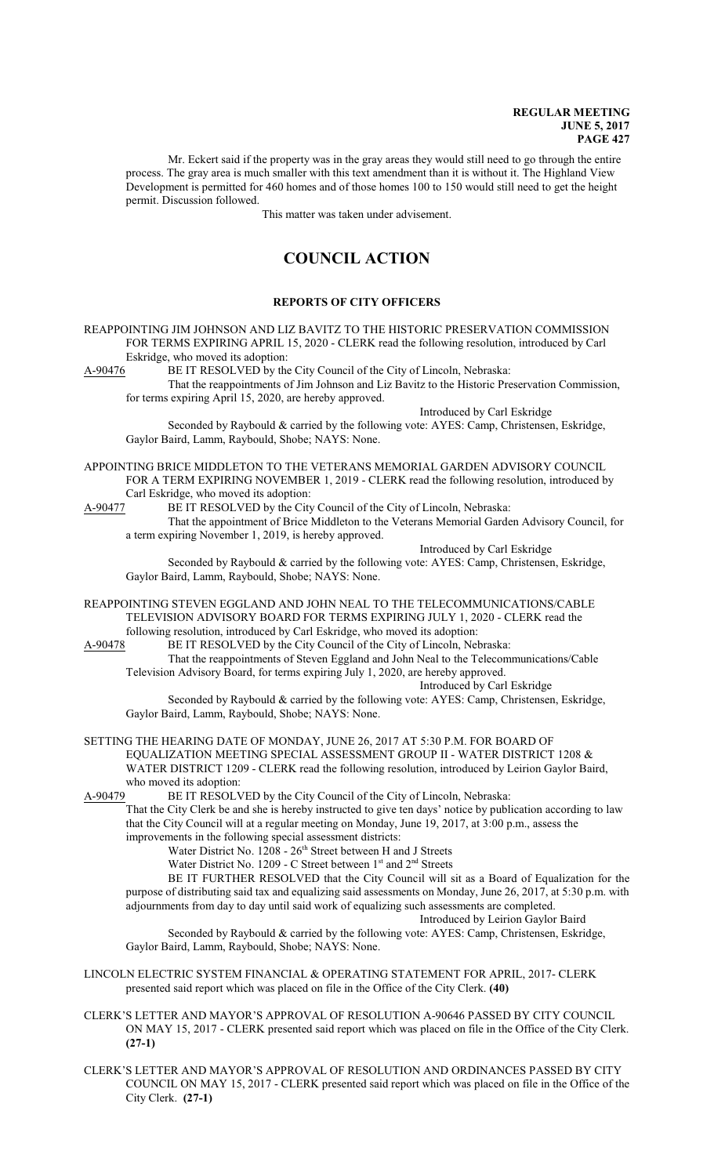Mr. Eckert said if the property was in the gray areas they would still need to go through the entire process. The gray area is much smaller with this text amendment than it is without it. The Highland View Development is permitted for 460 homes and of those homes 100 to 150 would still need to get the height permit. Discussion followed.

This matter was taken under advisement.

# **COUNCIL ACTION**

### **REPORTS OF CITY OFFICERS**

REAPPOINTING JIM JOHNSON AND LIZ BAVITZ TO THE HISTORIC PRESERVATION COMMISSION FOR TERMS EXPIRING APRIL 15, 2020 - CLERK read the following resolution, introduced by Carl Eskridge, who moved its adoption:<br>A-90476 BE IT RESOLVED by the

BE IT RESOLVED by the City Council of the City of Lincoln, Nebraska: That the reappointments of Jim Johnson and Liz Bavitz to the Historic Preservation Commission, for terms expiring April 15, 2020, are hereby approved.

Introduced by Carl Eskridge

Seconded by Raybould & carried by the following vote: AYES: Camp, Christensen, Eskridge, Gaylor Baird, Lamm, Raybould, Shobe; NAYS: None.

APPOINTING BRICE MIDDLETON TO THE VETERANS MEMORIAL GARDEN ADVISORY COUNCIL FOR A TERM EXPIRING NOVEMBER 1, 2019 - CLERK read the following resolution, introduced by Carl Eskridge, who moved its adoption:

A-90477 BE IT RESOLVED by the City Council of the City of Lincoln, Nebraska:

That the appointment of Brice Middleton to the Veterans Memorial Garden Advisory Council, for a term expiring November 1, 2019, is hereby approved.

Introduced by Carl Eskridge

Seconded by Raybould & carried by the following vote: AYES: Camp, Christensen, Eskridge, Gaylor Baird, Lamm, Raybould, Shobe; NAYS: None.

REAPPOINTING STEVEN EGGLAND AND JOHN NEAL TO THE TELECOMMUNICATIONS/CABLE TELEVISION ADVISORY BOARD FOR TERMS EXPIRING JULY 1, 2020 - CLERK read the following resolution, introduced by Carl Eskridge, who moved its adoption:<br>A-90478 BE IT RESOLVED by the City Council of the City of Lincoln, Neb

BE IT RESOLVED by the City Council of the City of Lincoln, Nebraska: That the reappointments of Steven Eggland and John Neal to the Telecommunications/Cable Television Advisory Board, for terms expiring July 1, 2020, are hereby approved.

Introduced by Carl Eskridge

Seconded by Raybould & carried by the following vote: AYES: Camp, Christensen, Eskridge, Gaylor Baird, Lamm, Raybould, Shobe; NAYS: None.

SETTING THE HEARING DATE OF MONDAY, JUNE 26, 2017 AT 5:30 P.M. FOR BOARD OF EQUALIZATION MEETING SPECIAL ASSESSMENT GROUP II - WATER DISTRICT 1208 & WATER DISTRICT 1209 - CLERK read the following resolution, introduced by Leirion Gaylor Baird, who moved its adoption:

A-90479 BE IT RESOLVED by the City Council of the City of Lincoln, Nebraska:

That the City Clerk be and she is hereby instructed to give ten days' notice by publication according to law that the City Council will at a regular meeting on Monday, June 19, 2017, at 3:00 p.m., assess the improvements in the following special assessment districts:

Water District No. 1208 - 26<sup>th</sup> Street between H and J Streets

Water District No. 1209 - C Street between  $1<sup>st</sup>$  and  $2<sup>nd</sup>$  Streets

BE IT FURTHER RESOLVED that the City Council will sit as a Board of Equalization for the purpose of distributing said tax and equalizing said assessments on Monday, June 26, 2017, at 5:30 p.m. with adjournments from day to day until said work of equalizing such assessments are completed.

Introduced by Leirion Gaylor Baird

Seconded by Raybould & carried by the following vote: AYES: Camp, Christensen, Eskridge, Gaylor Baird, Lamm, Raybould, Shobe; NAYS: None.

LINCOLN ELECTRIC SYSTEM FINANCIAL & OPERATING STATEMENT FOR APRIL, 2017- CLERK presented said report which was placed on file in the Office of the City Clerk. **(40)**

CLERK'S LETTER AND MAYOR'S APPROVAL OF RESOLUTION A-90646 PASSED BY CITY COUNCIL ON MAY 15, 2017 - CLERK presented said report which was placed on file in the Office of the City Clerk. **(27-1)**

CLERK'S LETTER AND MAYOR'S APPROVAL OF RESOLUTION AND ORDINANCES PASSED BY CITY COUNCIL ON MAY 15, 2017 - CLERK presented said report which was placed on file in the Office of the City Clerk. **(27-1)**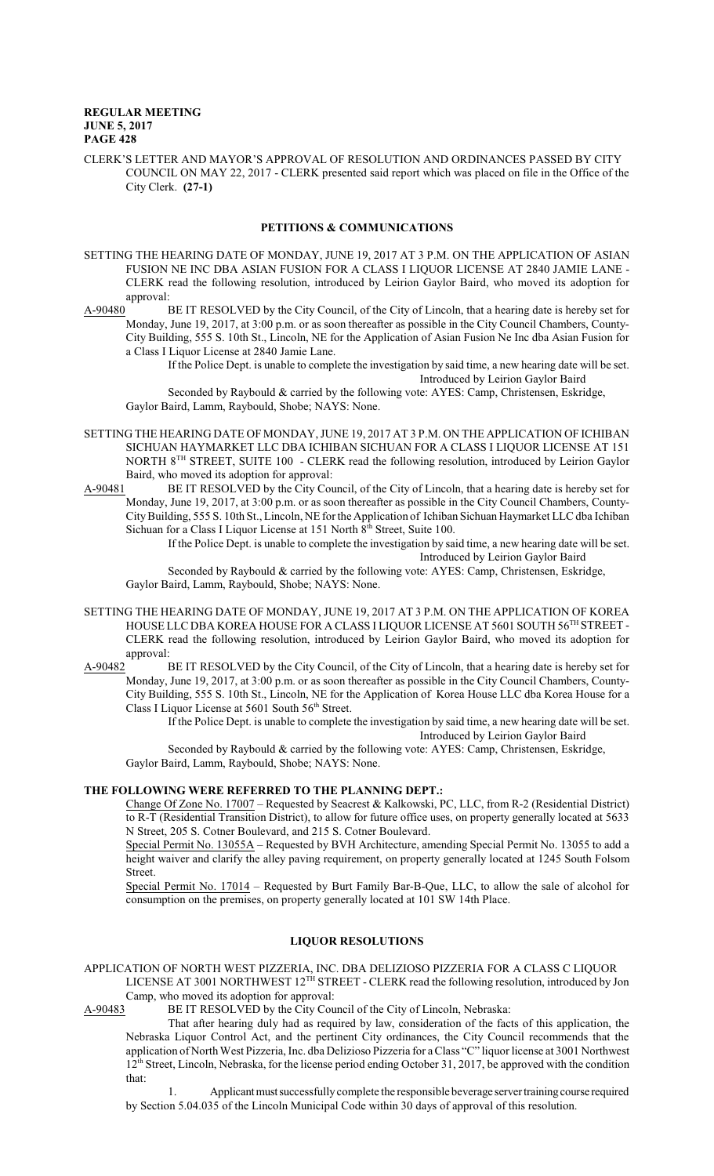CLERK'S LETTER AND MAYOR'S APPROVAL OF RESOLUTION AND ORDINANCES PASSED BY CITY COUNCIL ON MAY 22, 2017 - CLERK presented said report which was placed on file in the Office of the City Clerk. **(27-1)**

### **PETITIONS & COMMUNICATIONS**

SETTING THE HEARING DATE OF MONDAY, JUNE 19, 2017 AT 3 P.M. ON THE APPLICATION OF ASIAN FUSION NE INC DBA ASIAN FUSION FOR A CLASS I LIQUOR LICENSE AT 2840 JAMIE LANE - CLERK read the following resolution, introduced by Leirion Gaylor Baird, who moved its adoption for approval:

A-90480 BE IT RESOLVED by the City Council, of the City of Lincoln, that a hearing date is hereby set for Monday, June 19, 2017, at 3:00 p.m. or as soon thereafter as possible in the City Council Chambers, County-City Building, 555 S. 10th St., Lincoln, NE for the Application of Asian Fusion Ne Inc dba Asian Fusion for a Class I Liquor License at 2840 Jamie Lane.

> If the Police Dept. is unable to complete the investigation by said time, a new hearing date will be set. Introduced by Leirion Gaylor Baird

Seconded by Raybould & carried by the following vote: AYES: Camp, Christensen, Eskridge, Gaylor Baird, Lamm, Raybould, Shobe; NAYS: None.

- SETTING THE HEARING DATE OF MONDAY, JUNE 19, 2017 AT 3 P.M. ON THE APPLICATION OF ICHIBAN SICHUAN HAYMARKET LLC DBA ICHIBAN SICHUAN FOR A CLASS I LIQUOR LICENSE AT 151 NORTH 8<sup>TH</sup> STREET, SUITE 100 - CLERK read the following resolution, introduced by Leirion Gaylor Baird, who moved its adoption for approval:
- A-90481 BE IT RESOLVED by the City Council, of the City of Lincoln, that a hearing date is hereby set for Monday, June 19, 2017, at 3:00 p.m. or as soon thereafter as possible in the City Council Chambers, County-CityBuilding, 555 S. 10th St., Lincoln, NE for the Application of Ichiban Sichuan Haymarket LLC dba Ichiban Sichuan for a Class I Liquor License at 151 North 8<sup>th</sup> Street, Suite 100.

If the Police Dept. is unable to complete the investigation by said time, a new hearing date will be set. Introduced by Leirion Gaylor Baird

Seconded by Raybould & carried by the following vote: AYES: Camp, Christensen, Eskridge, Gaylor Baird, Lamm, Raybould, Shobe; NAYS: None.

- SETTING THE HEARING DATE OF MONDAY, JUNE 19, 2017 AT 3 P.M. ON THE APPLICATION OF KOREA HOUSE LLC DBA KOREA HOUSE FOR A CLASS I LIQUOR LICENSE AT 5601 SOUTH 56 TH STREET - CLERK read the following resolution, introduced by Leirion Gaylor Baird, who moved its adoption for approval:
- A-90482 BE IT RESOLVED by the City Council, of the City of Lincoln, that a hearing date is hereby set for Monday, June 19, 2017, at 3:00 p.m. or as soon thereafter as possible in the City Council Chambers, County-City Building, 555 S. 10th St., Lincoln, NE for the Application of Korea House LLC dba Korea House for a Class I Liquor License at 5601 South 56<sup>th</sup> Street.

If the Police Dept. is unable to complete the investigation by said time, a new hearing date will be set. Introduced by Leirion Gaylor Baird

Seconded by Raybould & carried by the following vote: AYES: Camp, Christensen, Eskridge, Gaylor Baird, Lamm, Raybould, Shobe; NAYS: None.

### **THE FOLLOWING WERE REFERRED TO THE PLANNING DEPT.:**

Change Of Zone No. 17007 – Requested by Seacrest & Kalkowski, PC, LLC, from R-2 (Residential District) to R-T (Residential Transition District), to allow for future office uses, on property generally located at 5633 N Street, 205 S. Cotner Boulevard, and 215 S. Cotner Boulevard.

Special Permit No. 13055A – Requested by BVH Architecture, amending Special Permit No. 13055 to add a height waiver and clarify the alley paving requirement, on property generally located at 1245 South Folsom Street.

Special Permit No. 17014 – Requested by Burt Family Bar-B-Que, LLC, to allow the sale of alcohol for consumption on the premises, on property generally located at 101 SW 14th Place.

### **LIQUOR RESOLUTIONS**

APPLICATION OF NORTH WEST PIZZERIA, INC. DBA DELIZIOSO PIZZERIA FOR A CLASS C LIQUOR LICENSE AT 3001 NORTHWEST 12 TH STREET - CLERK read the following resolution, introduced by Jon Camp, who moved its adoption for approval:<br>A-90483 BE IT RESOLVED by the City Cou

BE IT RESOLVED by the City Council of the City of Lincoln, Nebraska:

That after hearing duly had as required by law, consideration of the facts of this application, the Nebraska Liquor Control Act, and the pertinent City ordinances, the City Council recommends that the application of North West Pizzeria, Inc. dba Delizioso Pizzeria for a Class "C" liquor license at 3001 Northwest 12<sup>th</sup> Street, Lincoln, Nebraska, for the license period ending October 31, 2017, be approved with the condition that:

Applicant must successfully complete the responsible beverage server training course required by Section 5.04.035 of the Lincoln Municipal Code within 30 days of approval of this resolution.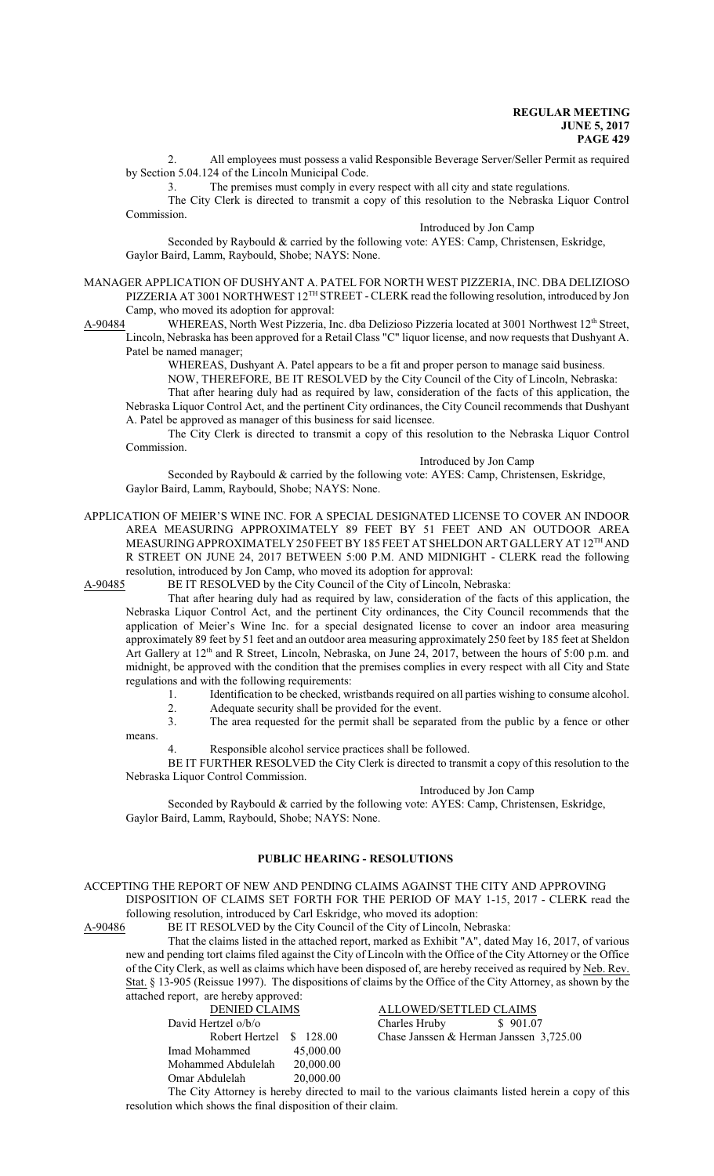2. All employees must possess a valid Responsible Beverage Server/Seller Permit as required by Section 5.04.124 of the Lincoln Municipal Code.

3. The premises must comply in every respect with all city and state regulations.

The City Clerk is directed to transmit a copy of this resolution to the Nebraska Liquor Control Commission.

### Introduced by Jon Camp

Seconded by Raybould & carried by the following vote: AYES: Camp, Christensen, Eskridge, Gaylor Baird, Lamm, Raybould, Shobe; NAYS: None.

MANAGER APPLICATION OF DUSHYANT A. PATEL FOR NORTH WEST PIZZERIA, INC. DBA DELIZIOSO PIZZERIA AT 3001 NORTHWEST 12<sup>TH</sup> STREET - CLERK read the following resolution, introduced by Jon Camp, who moved its adoption for approval:

A-90484 WHEREAS, North West Pizzeria, Inc. dba Delizioso Pizzeria located at 3001 Northwest 12<sup>th</sup> Street, Lincoln, Nebraska has been approved for a Retail Class "C" liquor license, and now requests that Dushyant A. Patel be named manager;

WHEREAS, Dushyant A. Patel appears to be a fit and proper person to manage said business.

NOW, THEREFORE, BE IT RESOLVED by the City Council of the City of Lincoln, Nebraska:

That after hearing duly had as required by law, consideration of the facts of this application, the Nebraska Liquor Control Act, and the pertinent City ordinances, the City Council recommends that Dushyant A. Patel be approved as manager of this business for said licensee.

The City Clerk is directed to transmit a copy of this resolution to the Nebraska Liquor Control Commission.

### Introduced by Jon Camp

Seconded by Raybould & carried by the following vote: AYES: Camp, Christensen, Eskridge, Gaylor Baird, Lamm, Raybould, Shobe; NAYS: None.

APPLICATION OF MEIER'S WINE INC. FOR A SPECIAL DESIGNATED LICENSE TO COVER AN INDOOR AREA MEASURING APPROXIMATELY 89 FEET BY 51 FEET AND AN OUTDOOR AREA MEASURING APPROXIMATELY 250 FEET BY 185 FEET AT SHELDON ART GALLERY AT 12<sup>th</sup> AND R STREET ON JUNE 24, 2017 BETWEEN 5:00 P.M. AND MIDNIGHT - CLERK read the following resolution, introduced by Jon Camp, who moved its adoption for approval:

A-90485 BE IT RESOLVED by the City Council of the City of Lincoln, Nebraska:

That after hearing duly had as required by law, consideration of the facts of this application, the Nebraska Liquor Control Act, and the pertinent City ordinances, the City Council recommends that the application of Meier's Wine Inc. for a special designated license to cover an indoor area measuring approximately 89 feet by 51 feet and an outdoor area measuring approximately 250 feet by 185 feet at Sheldon Art Gallery at 12<sup>th</sup> and R Street, Lincoln, Nebraska, on June 24, 2017, between the hours of 5:00 p.m. and midnight, be approved with the condition that the premises complies in every respect with all City and State regulations and with the following requirements:

1. Identification to be checked, wristbands required on all parties wishing to consume alcohol.

2. Adequate security shall be provided for the event.<br>3. The area requested for the permit shall be separared

The area requested for the permit shall be separated from the public by a fence or other

means.

Responsible alcohol service practices shall be followed.

BE IT FURTHER RESOLVED the City Clerk is directed to transmit a copy of this resolution to the Nebraska Liquor Control Commission.

#### Introduced by Jon Camp

Seconded by Raybould & carried by the following vote: AYES: Camp, Christensen, Eskridge, Gaylor Baird, Lamm, Raybould, Shobe; NAYS: None.

### **PUBLIC HEARING - RESOLUTIONS**

ACCEPTING THE REPORT OF NEW AND PENDING CLAIMS AGAINST THE CITY AND APPROVING DISPOSITION OF CLAIMS SET FORTH FOR THE PERIOD OF MAY 1-15, 2017 - CLERK read the following resolution, introduced by Carl Eskridge, who moved its adoption:<br>A-90486 BE IT RESOLVED by the City Council of the City of Lincoln, Net

BE IT RESOLVED by the City Council of the City of Lincoln, Nebraska:

That the claims listed in the attached report, marked as Exhibit "A", dated May 16, 2017, of various new and pending tort claims filed against the City of Lincoln with the Office of the City Attorney or the Office of the City Clerk, as well as claims which have been disposed of, are hereby received as required by Neb. Rev. Stat. § 13-905 (Reissue 1997). The dispositions of claims by the Office of the City Attorney, as shown by the attached report, are hereby approved:

| <b>DENIED CLAIMS</b>    |  |           |
|-------------------------|--|-----------|
| David Hertzel o/b/o     |  |           |
| Robert Hertzel \$128.00 |  |           |
| Imad Mohammed           |  | 45,000.00 |
| Mohammed Abdulelah      |  | 20,000.00 |
| Omar Abdulelah          |  | 20,000.00 |
|                         |  | $\cdots$  |

ALLOWED/SETTLED CLAIMS<br>Charles Hruby \$901.07  $\overline{\text{Charles H}$ ruby 0 Chase Janssen & Herman Janssen 3,725.00<br>00

The City Attorney is hereby directed to mail to the various claimants listed herein a copy of this resolution which shows the final disposition of their claim.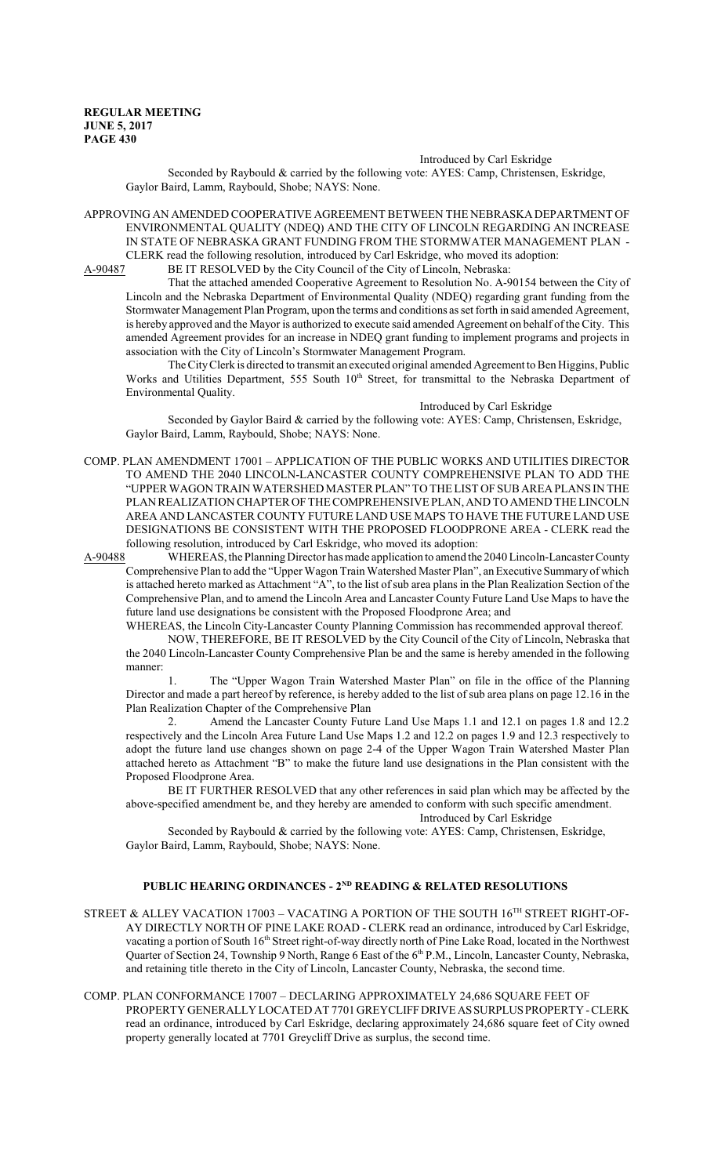#### Introduced by Carl Eskridge

Seconded by Raybould & carried by the following vote: AYES: Camp, Christensen, Eskridge, Gaylor Baird, Lamm, Raybould, Shobe; NAYS: None.

APPROVING AN AMENDED COOPERATIVE AGREEMENT BETWEEN THE NEBRASKA DEPARTMENT OF ENVIRONMENTAL QUALITY (NDEQ) AND THE CITY OF LINCOLN REGARDING AN INCREASE IN STATE OF NEBRASKA GRANT FUNDING FROM THE STORMWATER MANAGEMENT PLAN - CLERK read the following resolution, introduced by Carl Eskridge, who moved its adoption:

A-90487 BE IT RESOLVED by the City Council of the City of Lincoln, Nebraska:

That the attached amended Cooperative Agreement to Resolution No. A-90154 between the City of Lincoln and the Nebraska Department of Environmental Quality (NDEQ) regarding grant funding from the Stormwater Management Plan Program, upon the terms and conditions as set forth in said amended Agreement, is hereby approved and the Mayor is authorized to execute said amended Agreement on behalf ofthe City. This amended Agreement provides for an increase in NDEQ grant funding to implement programs and projects in association with the City of Lincoln's Stormwater Management Program.

The City Clerk is directed to transmit an executed original amended Agreement to Ben Higgins, Public Works and Utilities Department, 555 South 10<sup>th</sup> Street, for transmittal to the Nebraska Department of Environmental Quality.

Introduced by Carl Eskridge Seconded by Gaylor Baird & carried by the following vote: AYES: Camp, Christensen, Eskridge, Gaylor Baird, Lamm, Raybould, Shobe; NAYS: None.

COMP. PLAN AMENDMENT 17001 – APPLICATION OF THE PUBLIC WORKS AND UTILITIES DIRECTOR TO AMEND THE 2040 LINCOLN-LANCASTER COUNTY COMPREHENSIVE PLAN TO ADD THE "UPPER WAGON TRAIN WATERSHED MASTER PLAN" TO THE LIST OF SUB AREAPLANS IN THE PLAN REALIZATION CHAPTER OF THE COMPREHENSIVE PLAN, AND TO AMEND THE LINCOLN AREA AND LANCASTER COUNTY FUTURE LAND USE MAPS TO HAVE THE FUTURE LAND USE DESIGNATIONS BE CONSISTENT WITH THE PROPOSED FLOODPRONE AREA - CLERK read the following resolution, introduced by Carl Eskridge, who moved its adoption:

A-90488 WHEREAS, the PlanningDirector has made application to amend the 2040Lincoln-Lancaster County Comprehensive Plan to add the "Upper Wagon Train Watershed Master Plan", an Executive Summary of which is attached hereto marked as Attachment "A", to the list of sub area plans in the Plan Realization Section of the Comprehensive Plan, and to amend the Lincoln Area and Lancaster County Future Land Use Maps to have the future land use designations be consistent with the Proposed Floodprone Area; and

WHEREAS, the Lincoln City-Lancaster County Planning Commission has recommended approval thereof.

NOW, THEREFORE, BE IT RESOLVED by the City Council of the City of Lincoln, Nebraska that the 2040 Lincoln-Lancaster County Comprehensive Plan be and the same is hereby amended in the following manner:

The "Upper Wagon Train Watershed Master Plan" on file in the office of the Planning Director and made a part hereof by reference, is hereby added to the list of sub area plans on page 12.16 in the Plan Realization Chapter of the Comprehensive Plan

2. Amend the Lancaster County Future Land Use Maps 1.1 and 12.1 on pages 1.8 and 12.2 respectively and the Lincoln Area Future Land Use Maps 1.2 and 12.2 on pages 1.9 and 12.3 respectively to adopt the future land use changes shown on page 2-4 of the Upper Wagon Train Watershed Master Plan attached hereto as Attachment "B" to make the future land use designations in the Plan consistent with the Proposed Floodprone Area.

BE IT FURTHER RESOLVED that any other references in said plan which may be affected by the above-specified amendment be, and they hereby are amended to conform with such specific amendment.

Introduced by Carl Eskridge

Seconded by Raybould & carried by the following vote: AYES: Camp, Christensen, Eskridge, Gaylor Baird, Lamm, Raybould, Shobe; NAYS: None.

### **PUBLIC HEARING ORDINANCES - 2ND READING & RELATED RESOLUTIONS**

- STREET & ALLEY VACATION 17003 VACATING A PORTION OF THE SOUTH 16 $^{\text{TH}}$  STREET RIGHT-OF-AY DIRECTLY NORTH OF PINE LAKE ROAD - CLERK read an ordinance, introduced by Carl Eskridge, vacating a portion of South 16<sup>th</sup> Street right-of-way directly north of Pine Lake Road, located in the Northwest Quarter of Section 24, Township 9 North, Range 6 East of the 6<sup>th</sup> P.M., Lincoln, Lancaster County, Nebraska, and retaining title thereto in the City of Lincoln, Lancaster County, Nebraska, the second time.
- COMP. PLAN CONFORMANCE 17007 DECLARING APPROXIMATELY 24,686 SQUARE FEET OF PROPERTY GENERALLY LOCATED AT 7701 GREYCLIFFDRIVEASSURPLUSPROPERTY -CLERK read an ordinance, introduced by Carl Eskridge, declaring approximately 24,686 square feet of City owned property generally located at 7701 Greycliff Drive as surplus, the second time.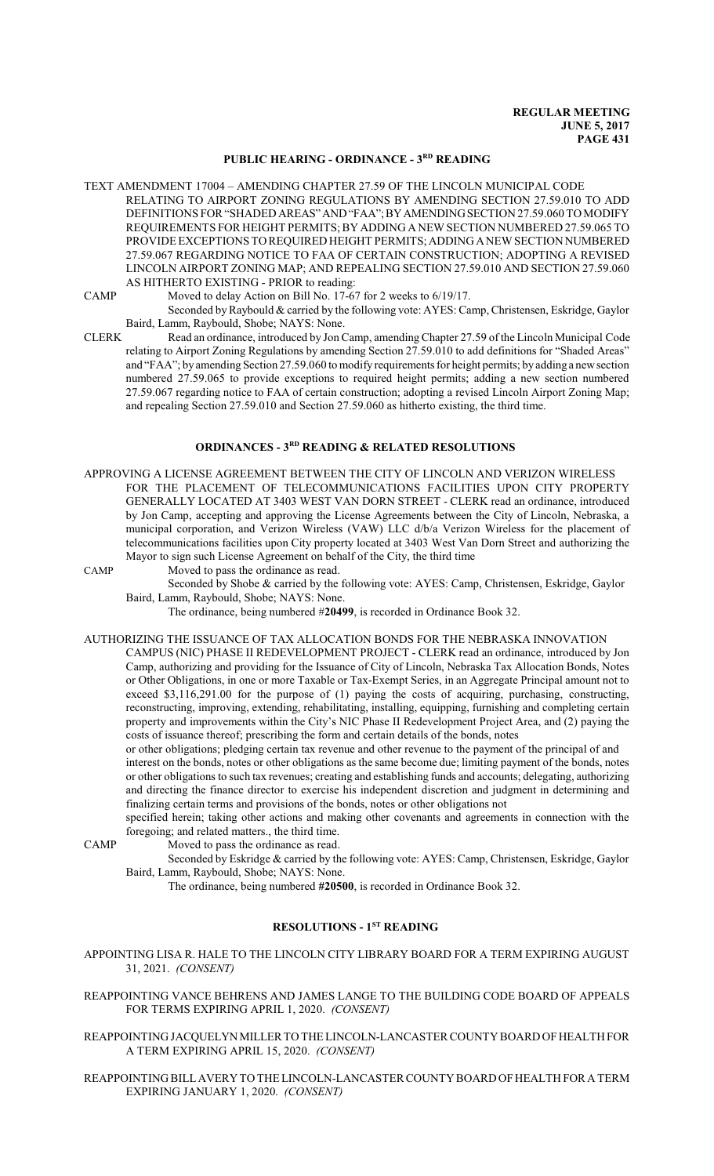# **PUBLIC HEARING - ORDINANCE - 3RD READING**

TEXT AMENDMENT 17004 – AMENDING CHAPTER 27.59 OF THE LINCOLN MUNICIPAL CODE RELATING TO AIRPORT ZONING REGULATIONS BY AMENDING SECTION 27.59.010 TO ADD DEFINITIONS FOR "SHADED AREAS" AND "FAA"; BY AMENDING SECTION 27.59.060 TO MODIFY REQUIREMENTS FOR HEIGHT PERMITS; BY ADDING A NEW SECTION NUMBERED 27.59.065 TO PROVIDE EXCEPTIONS TO REQUIRED HEIGHT PERMITS; ADDING ANEWSECTION NUMBERED 27.59.067 REGARDING NOTICE TO FAA OF CERTAIN CONSTRUCTION; ADOPTING A REVISED LINCOLN AIRPORT ZONING MAP; AND REPEALING SECTION 27.59.010 AND SECTION 27.59.060 AS HITHERTO EXISTING - PRIOR to reading:

CAMP Moved to delay Action on Bill No. 17-67 for 2 weeks to 6/19/17.

- Seconded by Raybould & carried by the following vote: AYES: Camp, Christensen, Eskridge, Gaylor Baird, Lamm, Raybould, Shobe; NAYS: None.
- CLERK Read an ordinance, introduced by Jon Camp, amending Chapter 27.59 of the Lincoln Municipal Code relating to Airport Zoning Regulations by amending Section 27.59.010 to add definitions for "Shaded Areas" and "FAA"; by amending Section 27.59.060 to modify requirements for height permits; by adding a newsection numbered 27.59.065 to provide exceptions to required height permits; adding a new section numbered 27.59.067 regarding notice to FAA of certain construction; adopting a revised Lincoln Airport Zoning Map; and repealing Section 27.59.010 and Section 27.59.060 as hitherto existing, the third time.

#### **ORDINANCES - 3RD READING & RELATED RESOLUTIONS**

APPROVING A LICENSE AGREEMENT BETWEEN THE CITY OF LINCOLN AND VERIZON WIRELESS FOR THE PLACEMENT OF TELECOMMUNICATIONS FACILITIES UPON CITY PROPERTY GENERALLY LOCATED AT 3403 WEST VAN DORN STREET - CLERK read an ordinance, introduced by Jon Camp, accepting and approving the License Agreements between the City of Lincoln, Nebraska, a municipal corporation, and Verizon Wireless (VAW) LLC d/b/a Verizon Wireless for the placement of telecommunications facilities upon City property located at 3403 West Van Dorn Street and authorizing the Mayor to sign such License Agreement on behalf of the City, the third time

CAMP Moved to pass the ordinance as read.

Seconded by Shobe & carried by the following vote: AYES: Camp, Christensen, Eskridge, Gaylor Baird, Lamm, Raybould, Shobe; NAYS: None.

The ordinance, being numbered #**20499**, is recorded in Ordinance Book 32.

AUTHORIZING THE ISSUANCE OF TAX ALLOCATION BONDS FOR THE NEBRASKA INNOVATION

CAMPUS (NIC) PHASE II REDEVELOPMENT PROJECT - CLERK read an ordinance, introduced by Jon Camp, authorizing and providing for the Issuance of City of Lincoln, Nebraska Tax Allocation Bonds, Notes or Other Obligations, in one or more Taxable or Tax-Exempt Series, in an Aggregate Principal amount not to exceed \$3,116,291.00 for the purpose of (1) paying the costs of acquiring, purchasing, constructing, reconstructing, improving, extending, rehabilitating, installing, equipping, furnishing and completing certain property and improvements within the City's NIC Phase II Redevelopment Project Area, and (2) paying the costs of issuance thereof; prescribing the form and certain details of the bonds, notes

or other obligations; pledging certain tax revenue and other revenue to the payment of the principal of and interest on the bonds, notes or other obligations as the same become due; limiting payment of the bonds, notes or other obligations to such tax revenues; creating and establishing funds and accounts; delegating, authorizing and directing the finance director to exercise his independent discretion and judgment in determining and finalizing certain terms and provisions of the bonds, notes or other obligations not

specified herein; taking other actions and making other covenants and agreements in connection with the foregoing; and related matters., the third time.

CAMP Moved to pass the ordinance as read.

Seconded by Eskridge & carried by the following vote: AYES: Camp, Christensen, Eskridge, Gaylor Baird, Lamm, Raybould, Shobe; NAYS: None.

The ordinance, being numbered **#20500**, is recorded in Ordinance Book 32.

## **RESOLUTIONS - 1ST READING**

APPOINTING LISA R. HALE TO THE LINCOLN CITY LIBRARY BOARD FOR A TERM EXPIRING AUGUST 31, 2021. *(CONSENT)*

- REAPPOINTING VANCE BEHRENS AND JAMES LANGE TO THE BUILDING CODE BOARD OF APPEALS FOR TERMS EXPIRING APRIL 1, 2020. *(CONSENT)*
- REAPPOINTING JACQUELYNMILLER TO THE LINCOLN-LANCASTER COUNTYBOARD OF HEALTH FOR A TERM EXPIRING APRIL 15, 2020. *(CONSENT)*
- REAPPOINTING BILLAVERY TO THE LINCOLN-LANCASTER COUNTY BOARD OF HEALTH FOR A TERM EXPIRING JANUARY 1, 2020. *(CONSENT)*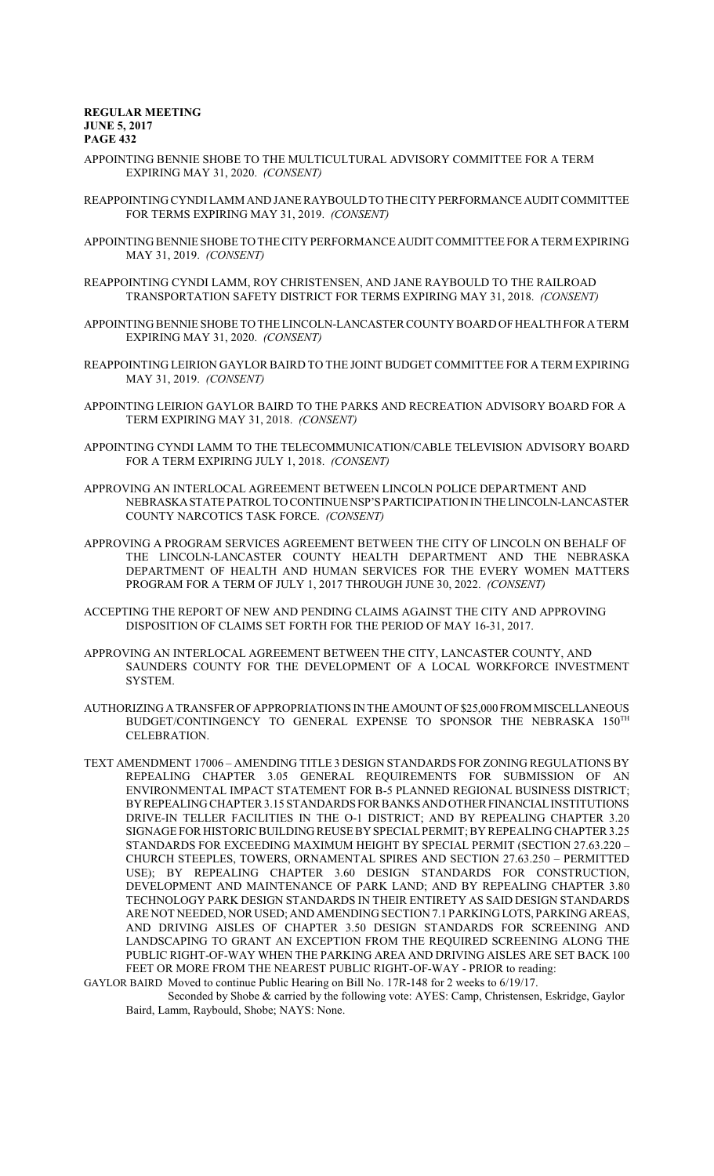- APPOINTING BENNIE SHOBE TO THE MULTICULTURAL ADVISORY COMMITTEE FOR A TERM EXPIRING MAY 31, 2020. *(CONSENT)*
- REAPPOINTING CYNDI LAMM AND JANE RAYBOULDTOTHECITYPERFORMANCEAUDIT COMMITTEE FOR TERMS EXPIRING MAY 31, 2019. *(CONSENT)*
- APPOINTING BENNIE SHOBE TO THE CITY PERFORMANCE AUDIT COMMITTEE FOR A TERM EXPIRING MAY 31, 2019. *(CONSENT)*
- REAPPOINTING CYNDI LAMM, ROY CHRISTENSEN, AND JANE RAYBOULD TO THE RAILROAD TRANSPORTATION SAFETY DISTRICT FOR TERMS EXPIRING MAY 31, 2018. *(CONSENT)*
- APPOINTING BENNIE SHOBE TO THE LINCOLN-LANCASTER COUNTY BOARDOF HEALTH FORATERM EXPIRING MAY 31, 2020. *(CONSENT)*
- REAPPOINTING LEIRION GAYLOR BAIRD TO THE JOINT BUDGET COMMITTEE FOR A TERM EXPIRING MAY 31, 2019. *(CONSENT)*
- APPOINTING LEIRION GAYLOR BAIRD TO THE PARKS AND RECREATION ADVISORY BOARD FOR A TERM EXPIRING MAY 31, 2018. *(CONSENT)*
- APPOINTING CYNDI LAMM TO THE TELECOMMUNICATION/CABLE TELEVISION ADVISORY BOARD FOR A TERM EXPIRING JULY 1, 2018. *(CONSENT)*
- APPROVING AN INTERLOCAL AGREEMENT BETWEEN LINCOLN POLICE DEPARTMENT AND NEBRASKASTATEPATROLTOCONTINUENSP'SPARTICIPATIONINTHELINCOLN-LANCASTER COUNTY NARCOTICS TASK FORCE. *(CONSENT)*
- APPROVING A PROGRAM SERVICES AGREEMENT BETWEEN THE CITY OF LINCOLN ON BEHALF OF THE LINCOLN-LANCASTER COUNTY HEALTH DEPARTMENT AND THE NEBRASKA DEPARTMENT OF HEALTH AND HUMAN SERVICES FOR THE EVERY WOMEN MATTERS PROGRAM FOR A TERM OF JULY 1, 2017 THROUGH JUNE 30, 2022. *(CONSENT)*
- ACCEPTING THE REPORT OF NEW AND PENDING CLAIMS AGAINST THE CITY AND APPROVING DISPOSITION OF CLAIMS SET FORTH FOR THE PERIOD OF MAY 16-31, 2017.
- APPROVING AN INTERLOCAL AGREEMENT BETWEEN THE CITY, LANCASTER COUNTY, AND SAUNDERS COUNTY FOR THE DEVELOPMENT OF A LOCAL WORKFORCE INVESTMENT **SYSTEM**
- AUTHORIZING ATRANSFER OF APPROPRIATIONS IN THE AMOUNT OF \$25,000FROMMISCELLANEOUS BUDGET/CONTINGENCY TO GENERAL EXPENSE TO SPONSOR THE NEBRASKA  $150^{\mathrm{TH}}$ CELEBRATION.
- TEXT AMENDMENT 17006 AMENDING TITLE 3 DESIGN STANDARDS FOR ZONING REGULATIONS BY REPEALING CHAPTER 3.05 GENERAL REQUIREMENTS FOR SUBMISSION OF AN ENVIRONMENTAL IMPACT STATEMENT FOR B-5 PLANNED REGIONAL BUSINESS DISTRICT; BYREPEALING CHAPTER 3.15 STANDARDS FOR BANKSANDOTHERFINANCIALINSTITUTIONS DRIVE-IN TELLER FACILITIES IN THE O-1 DISTRICT; AND BY REPEALING CHAPTER 3.20 SIGNAGE FOR HISTORIC BUILDING REUSE BY SPECIALPERMIT; BY REPEALING CHAPTER 3.25 STANDARDS FOR EXCEEDING MAXIMUM HEIGHT BY SPECIAL PERMIT (SECTION 27.63.220 – CHURCH STEEPLES, TOWERS, ORNAMENTAL SPIRES AND SECTION 27.63.250 – PERMITTED USE); BY REPEALING CHAPTER 3.60 DESIGN STANDARDS FOR CONSTRUCTION, DEVELOPMENT AND MAINTENANCE OF PARK LAND; AND BY REPEALING CHAPTER 3.80 TECHNOLOGY PARK DESIGN STANDARDS IN THEIR ENTIRETY AS SAID DESIGN STANDARDS ARE NOT NEEDED, NOR USED; AND AMENDING SECTION 7.1 PARKING LOTS, PARKING AREAS, AND DRIVING AISLES OF CHAPTER 3.50 DESIGN STANDARDS FOR SCREENING AND LANDSCAPING TO GRANT AN EXCEPTION FROM THE REQUIRED SCREENING ALONG THE PUBLIC RIGHT-OF-WAY WHEN THE PARKING AREA AND DRIVING AISLES ARE SET BACK 100 FEET OR MORE FROM THE NEAREST PUBLIC RIGHT-OF-WAY - PRIOR to reading:

GAYLOR BAIRD Moved to continue Public Hearing on Bill No. 17R-148 for 2 weeks to 6/19/17.

Seconded by Shobe & carried by the following vote: AYES: Camp, Christensen, Eskridge, Gaylor Baird, Lamm, Raybould, Shobe; NAYS: None.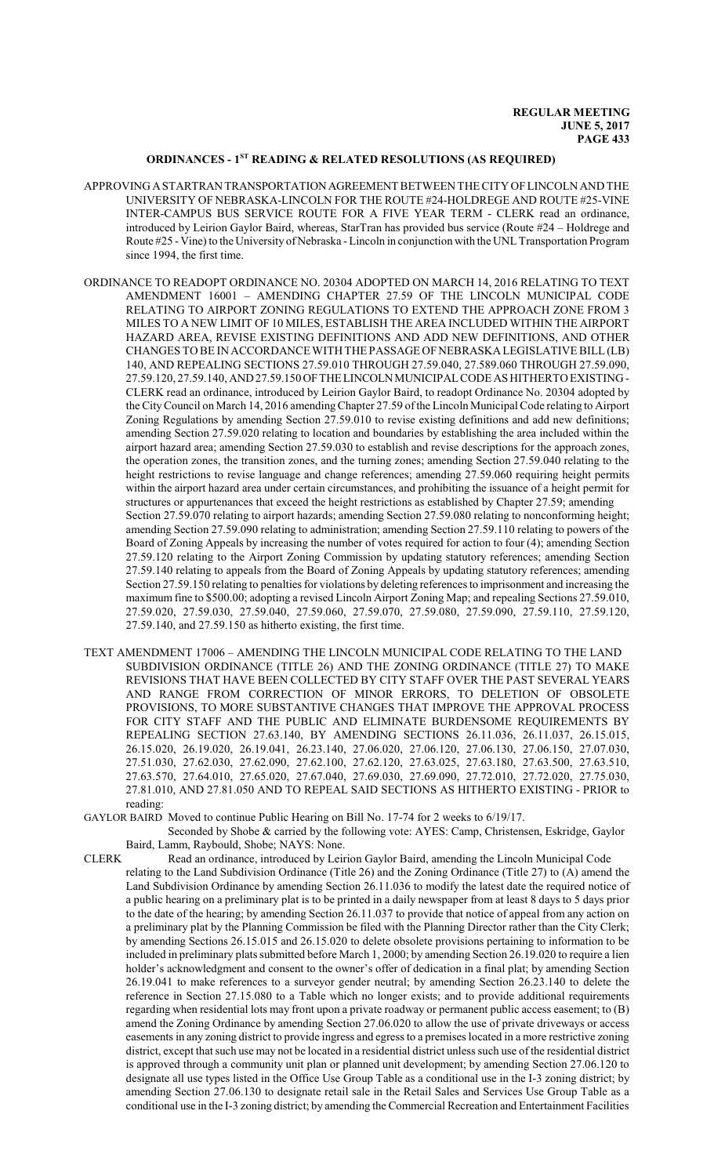## **ORDINANCES - 1ST READING & RELATED RESOLUTIONS (AS REQUIRED)**

- APPROVING ASTARTRANTRANSPORTATIONAGREEMENT BETWEEN THE CITY OF LINCOLN AND THE UNIVERSITY OF NEBRASKA-LINCOLN FOR THE ROUTE #24-HOLDREGE AND ROUTE #25-VINE INTER-CAMPUS BUS SERVICE ROUTE FOR A FIVE YEAR TERM - CLERK read an ordinance, introduced by Leirion Gaylor Baird, whereas, StarTran has provided bus service (Route #24 – Holdrege and Route #25 - Vine) to the University of Nebraska - Lincoln in conjunction with the UNL Transportation Program since 1994, the first time.
- ORDINANCE TO READOPT ORDINANCE NO. 20304 ADOPTED ON MARCH 14, 2016 RELATING TO TEXT AMENDMENT 16001 – AMENDING CHAPTER 27.59 OF THE LINCOLN MUNICIPAL CODE RELATING TO AIRPORT ZONING REGULATIONS TO EXTEND THE APPROACH ZONE FROM 3 MILES TO A NEW LIMIT OF 10 MILES, ESTABLISH THE AREA INCLUDED WITHIN THE AIRPORT HAZARD AREA, REVISE EXISTING DEFINITIONS AND ADD NEW DEFINITIONS, AND OTHER CHANGES TO BE IN ACCORDANCE WITH THE PASSAGE OF NEBRASKA LEGISLATIVE BILL(LB) 140, AND REPEALING SECTIONS 27.59.010 THROUGH 27.59.040, 27.589.060 THROUGH 27.59.090, 27.59.120, 27.59.140, AND27.59.150OFTHELINCOLNMUNICIPALCODE ASHITHERTOEXISTING - CLERK read an ordinance, introduced by Leirion Gaylor Baird, to readopt Ordinance No. 20304 adopted by the CityCouncil on March 14, 2016 amendingChapter 27.59 ofthe Lincoln Municipal Code relating to Airport Zoning Regulations by amending Section 27.59.010 to revise existing definitions and add new definitions; amending Section 27.59.020 relating to location and boundaries by establishing the area included within the airport hazard area; amending Section 27.59.030 to establish and revise descriptions for the approach zones, the operation zones, the transition zones, and the turning zones; amending Section 27.59.040 relating to the height restrictions to revise language and change references; amending 27.59.060 requiring height permits within the airport hazard area under certain circumstances, and prohibiting the issuance of a height permit for structures or appurtenances that exceed the height restrictions as established by Chapter 27.59; amending Section 27.59.070 relating to airport hazards; amending Section 27.59.080 relating to nonconforming height; amending Section 27.59.090 relating to administration; amending Section 27.59.110 relating to powers of the Board of Zoning Appeals by increasing the number of votes required for action to four (4); amending Section 27.59.120 relating to the Airport Zoning Commission by updating statutory references; amending Section 27.59.140 relating to appeals from the Board of Zoning Appeals by updating statutory references; amending Section 27.59.150 relating to penalties for violations by deleting references to imprisonment and increasing the maximum fine to \$500.00; adopting a revised Lincoln Airport Zoning Map; and repealing Sections 27.59.010, 27.59.020, 27.59.030, 27.59.040, 27.59.060, 27.59.070, 27.59.080, 27.59.090, 27.59.110, 27.59.120, 27.59.140, and 27.59.150 as hitherto existing, the first time.
- TEXT AMENDMENT 17006 AMENDING THE LINCOLN MUNICIPAL CODE RELATING TO THE LAND SUBDIVISION ORDINANCE (TITLE 26) AND THE ZONING ORDINANCE (TITLE 27) TO MAKE REVISIONS THAT HAVE BEEN COLLECTED BY CITY STAFF OVER THE PAST SEVERAL YEARS AND RANGE FROM CORRECTION OF MINOR ERRORS, TO DELETION OF OBSOLETE PROVISIONS, TO MORE SUBSTANTIVE CHANGES THAT IMPROVE THE APPROVAL PROCESS FOR CITY STAFF AND THE PUBLIC AND ELIMINATE BURDENSOME REQUIREMENTS BY REPEALING SECTION 27.63.140, BY AMENDING SECTIONS 26.11.036, 26.11.037, 26.15.015, 26.15.020, 26.19.020, 26.19.041, 26.23.140, 27.06.020, 27.06.120, 27.06.130, 27.06.150, 27.07.030, 27.51.030, 27.62.030, 27.62.090, 27.62.100, 27.62.120, 27.63.025, 27.63.180, 27.63.500, 27.63.510, 27.63.570, 27.64.010, 27.65.020, 27.67.040, 27.69.030, 27.69.090, 27.72.010, 27.72.020, 27.75.030, 27.81.010, AND 27.81.050 AND TO REPEAL SAID SECTIONS AS HITHERTO EXISTING - PRIOR to reading:

GAYLOR BAIRD Moved to continue Public Hearing on Bill No. 17-74 for 2 weeks to 6/19/17.

Seconded by Shobe & carried by the following vote: AYES: Camp, Christensen, Eskridge, Gaylor Baird, Lamm, Raybould, Shobe; NAYS: None.

CLERK Read an ordinance, introduced by Leirion Gaylor Baird, amending the Lincoln Municipal Code relating to the Land Subdivision Ordinance (Title 26) and the Zoning Ordinance (Title 27) to (A) amend the Land Subdivision Ordinance by amending Section 26.11.036 to modify the latest date the required notice of a public hearing on a preliminary plat is to be printed in a daily newspaper from at least 8 days to 5 days prior to the date of the hearing; by amending Section 26.11.037 to provide that notice of appeal from any action on a preliminary plat by the Planning Commission be filed with the Planning Director rather than the City Clerk; by amending Sections 26.15.015 and 26.15.020 to delete obsolete provisions pertaining to information to be included in preliminary plats submitted before March 1, 2000; by amending Section 26.19.020 to require a lien holder's acknowledgment and consent to the owner's offer of dedication in a final plat; by amending Section 26.19.041 to make references to a surveyor gender neutral; by amending Section 26.23.140 to delete the reference in Section 27.15.080 to a Table which no longer exists; and to provide additional requirements regarding when residential lots may front upon a private roadway or permanent public access easement; to (B) amend the Zoning Ordinance by amending Section 27.06.020 to allow the use of private driveways or access easements in any zoning district to provide ingress and egress to a premises located in a more restrictive zoning district, except that such use may not be located in a residential district unless such use of the residential district is approved through a community unit plan or planned unit development; by amending Section 27.06.120 to designate all use types listed in the Office Use Group Table as a conditional use in the I-3 zoning district; by amending Section 27.06.130 to designate retail sale in the Retail Sales and Services Use Group Table as a conditional use in the I-3 zoning district; by amending the Commercial Recreation and Entertainment Facilities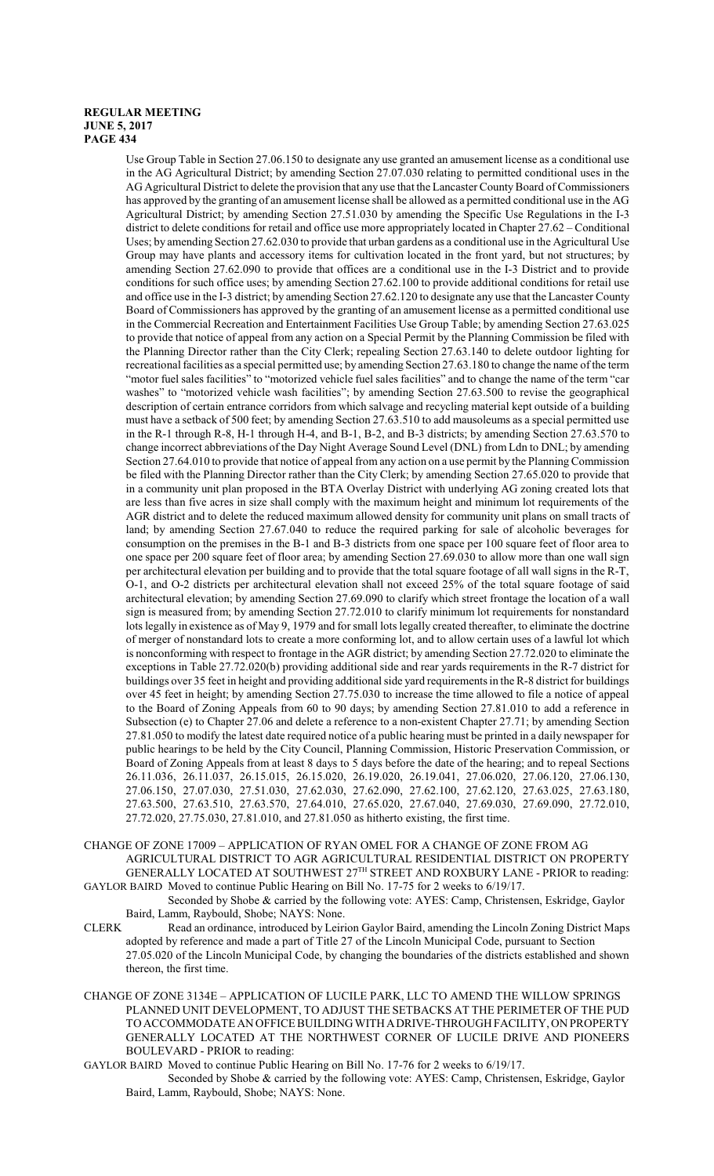Use Group Table in Section 27.06.150 to designate any use granted an amusement license as a conditional use in the AG Agricultural District; by amending Section 27.07.030 relating to permitted conditional uses in the AG Agricultural District to delete the provision that any use that the Lancaster County Board of Commissioners has approved by the granting of an amusement license shall be allowed as a permitted conditional use in the AG Agricultural District; by amending Section 27.51.030 by amending the Specific Use Regulations in the I-3 district to delete conditions for retail and office use more appropriately located in Chapter 27.62 – Conditional Uses; by amending Section 27.62.030 to provide that urban gardens as a conditional use in the Agricultural Use Group may have plants and accessory items for cultivation located in the front yard, but not structures; by amending Section 27.62.090 to provide that offices are a conditional use in the I-3 District and to provide conditions for such office uses; by amending Section 27.62.100 to provide additional conditions for retail use and office use in the I-3 district; by amending Section 27.62.120 to designate any use that the Lancaster County Board of Commissioners has approved by the granting of an amusement license as a permitted conditional use in the Commercial Recreation and Entertainment Facilities Use Group Table; by amending Section 27.63.025 to provide that notice of appeal from any action on a Special Permit by the Planning Commission be filed with the Planning Director rather than the City Clerk; repealing Section 27.63.140 to delete outdoor lighting for recreational facilities as a special permitted use; by amending Section 27.63.180 to change the name of the term "motor fuel sales facilities" to "motorized vehicle fuel sales facilities" and to change the name of the term "car washes" to "motorized vehicle wash facilities"; by amending Section 27.63.500 to revise the geographical description of certain entrance corridors from which salvage and recycling material kept outside of a building must have a setback of 500 feet; by amending Section 27.63.510 to add mausoleums as a special permitted use in the R-1 through R-8, H-1 through H-4, and B-1, B-2, and B-3 districts; by amending Section 27.63.570 to change incorrect abbreviations of the Day Night Average Sound Level (DNL) from Ldn to DNL; by amending Section 27.64.010 to provide that notice of appeal from any action on a use permit by the Planning Commission be filed with the Planning Director rather than the City Clerk; by amending Section 27.65.020 to provide that in a community unit plan proposed in the BTA Overlay District with underlying AG zoning created lots that are less than five acres in size shall comply with the maximum height and minimum lot requirements of the AGR district and to delete the reduced maximum allowed density for community unit plans on small tracts of land; by amending Section 27.67.040 to reduce the required parking for sale of alcoholic beverages for consumption on the premises in the B-1 and B-3 districts from one space per 100 square feet of floor area to one space per 200 square feet of floor area; by amending Section 27.69.030 to allow more than one wall sign per architectural elevation per building and to provide that the total square footage of all wall signs in the R-T, O-1, and O-2 districts per architectural elevation shall not exceed 25% of the total square footage of said architectural elevation; by amending Section 27.69.090 to clarify which street frontage the location of a wall sign is measured from; by amending Section 27.72.010 to clarify minimum lot requirements for nonstandard lots legally in existence as of May 9, 1979 and for small lots legally created thereafter, to eliminate the doctrine of merger of nonstandard lots to create a more conforming lot, and to allow certain uses of a lawful lot which is nonconforming with respect to frontage in the AGR district; by amending Section 27.72.020 to eliminate the exceptions in Table 27.72.020(b) providing additional side and rear yards requirements in the R-7 district for buildings over 35 feet in height and providing additional side yard requirements in the R-8 district for buildings over 45 feet in height; by amending Section 27.75.030 to increase the time allowed to file a notice of appeal to the Board of Zoning Appeals from 60 to 90 days; by amending Section 27.81.010 to add a reference in Subsection (e) to Chapter 27.06 and delete a reference to a non-existent Chapter 27.71; by amending Section 27.81.050 to modify the latest date required notice of a public hearing must be printed in a daily newspaper for public hearings to be held by the City Council, Planning Commission, Historic Preservation Commission, or Board of Zoning Appeals from at least 8 days to 5 days before the date of the hearing; and to repeal Sections 26.11.036, 26.11.037, 26.15.015, 26.15.020, 26.19.020, 26.19.041, 27.06.020, 27.06.120, 27.06.130, 27.06.150, 27.07.030, 27.51.030, 27.62.030, 27.62.090, 27.62.100, 27.62.120, 27.63.025, 27.63.180, 27.63.500, 27.63.510, 27.63.570, 27.64.010, 27.65.020, 27.67.040, 27.69.030, 27.69.090, 27.72.010, 27.72.020, 27.75.030, 27.81.010, and 27.81.050 as hitherto existing, the first time.

CHANGE OF ZONE 17009 – APPLICATION OF RYAN OMEL FOR A CHANGE OF ZONE FROM AG AGRICULTURAL DISTRICT TO AGR AGRICULTURAL RESIDENTIAL DISTRICT ON PROPERTY GENERALLY LOCATED AT SOUTHWEST 27<sup>TH</sup> STREET AND ROXBURY LANE - PRIOR to reading: GAYLOR BAIRD Moved to continue Public Hearing on Bill No. 17-75 for 2 weeks to 6/19/17.

Seconded by Shobe & carried by the following vote: AYES: Camp, Christensen, Eskridge, Gaylor Baird, Lamm, Raybould, Shobe; NAYS: None.

- CLERK Read an ordinance, introduced by Leirion Gaylor Baird, amending the Lincoln Zoning District Maps adopted by reference and made a part of Title 27 of the Lincoln Municipal Code, pursuant to Section 27.05.020 of the Lincoln Municipal Code, by changing the boundaries of the districts established and shown thereon, the first time.
- CHANGE OF ZONE 3134E APPLICATION OF LUCILE PARK, LLC TO AMEND THE WILLOW SPRINGS PLANNED UNIT DEVELOPMENT, TO ADJUST THE SETBACKS AT THE PERIMETER OF THE PUD TO ACCOMMODATE AN OFFICE BUILDINGWITHADRIVE-THROUGH FACILITY, ON PROPERTY GENERALLY LOCATED AT THE NORTHWEST CORNER OF LUCILE DRIVE AND PIONEERS BOULEVARD - PRIOR to reading:

GAYLOR BAIRD Moved to continue Public Hearing on Bill No. 17-76 for 2 weeks to 6/19/17.

Seconded by Shobe & carried by the following vote: AYES: Camp, Christensen, Eskridge, Gaylor Baird, Lamm, Raybould, Shobe; NAYS: None.